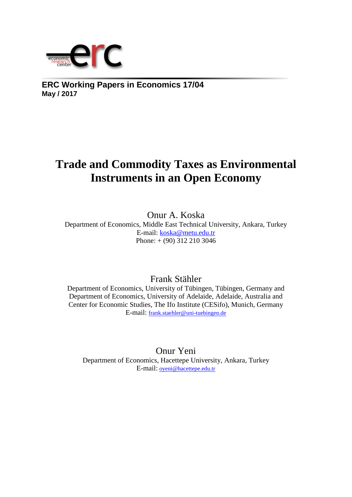

**ERC Working Papers in Economics 17/04 May / 2017**

## **Trade and Commodity Taxes as Environmental Instruments in an Open Economy**

Onur A. Koska Department of Economics, Middle East Technical University, Ankara, Turkey E-mail: [koska@metu.edu.tr](mailto:koska@metu.edu.tr)  Phone: + (90) 312 210 3046

Frank Stähler

Department of Economics, University of Tübingen, Tübingen, Germany and Department of Economics, University of Adelaide, Adelaide, Australia and Center for Economic Studies, The Ifo Institute (CESifo), Munich, Germany E-mail: [frank.staehler@uni-tuebingen.de](mailto:frank.staehler@uni-tuebingen.de)

Onur Yeni Department of Economics, Hacettepe University, Ankara, Turkey E-mail: oyeni@hacettepe.edu.tr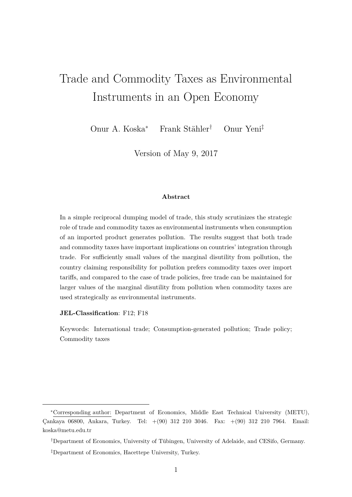# Trade and Commodity Taxes as Environmental Instruments in an Open Economy

Onur A. Koska<sup>∗</sup> Frank Stähler† Onur Yeni‡

Version of May 9, 2017

#### **Abstract**

In a simple reciprocal dumping model of trade, this study scrutinizes the strategic role of trade and commodity taxes as environmental instruments when consumption of an imported product generates pollution. The results suggest that both trade and commodity taxes have important implications on countries' integration through trade. For sufficiently small values of the marginal disutility from pollution, the country claiming responsibility for pollution prefers commodity taxes over import tariffs, and compared to the case of trade policies, free trade can be maintained for larger values of the marginal disutility from pollution when commodity taxes are used strategically as environmental instruments.

#### **JEL-Classification**: F12; F18

Keywords: International trade; Consumption-generated pollution; Trade policy; Commodity taxes

<sup>∗</sup>Corresponding author: Department of Economics, Middle East Technical University (METU), Çankaya 06800, Ankara, Turkey. Tel: +(90) 312 210 3046. Fax: +(90) 312 210 7964. Email: koska@metu.edu.tr

<sup>†</sup>Department of Economics, University of Tübingen, University of Adelaide, and CESifo, Germany.

<sup>‡</sup>Department of Economics, Hacettepe University, Turkey.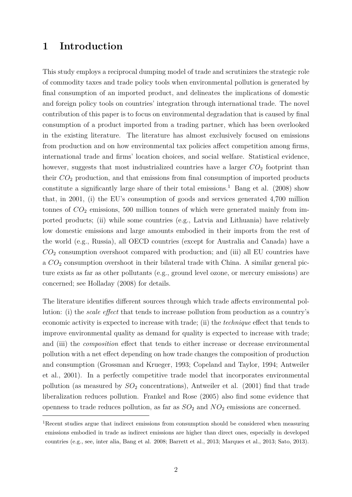### **1 Introduction**

This study employs a reciprocal dumping model of trade and scrutinizes the strategic role of commodity taxes and trade policy tools when environmental pollution is generated by final consumption of an imported product, and delineates the implications of domestic and foreign policy tools on countries' integration through international trade. The novel contribution of this paper is to focus on environmental degradation that is caused by final consumption of a product imported from a trading partner, which has been overlooked in the existing literature. The literature has almost exclusively focused on emissions from production and on how environmental tax policies affect competition among firms, international trade and firms' location choices, and social welfare. Statistical evidence, however, suggests that most industrialized countries have a larger  $CO<sub>2</sub>$  footprint than their *CO*<sup>2</sup> production, and that emissions from final consumption of imported products constitute a significantly large share of their total emissions.<sup>1</sup> Bang et al. (2008) show that, in 2001, (i) the EU's consumption of goods and services generated 4,700 million tonnes of  $CO<sub>2</sub>$  emissions, 500 million tonnes of which were generated mainly from imported products; (ii) while some countries (e.g., Latvia and Lithuania) have relatively low domestic emissions and large amounts embodied in their imports from the rest of the world (e.g., Russia), all OECD countries (except for Australia and Canada) have a *CO*<sup>2</sup> consumption overshoot compared with production; and (iii) all EU countries have a *CO*<sup>2</sup> consumption overshoot in their bilateral trade with China. A similar general picture exists as far as other pollutants (e.g., ground level ozone, or mercury emissions) are concerned; see Holladay (2008) for details.

The literature identifies different sources through which trade affects environmental pollution: (i) the *scale effect* that tends to increase pollution from production as a country's economic activity is expected to increase with trade; (ii) the *technique* effect that tends to improve environmental quality as demand for quality is expected to increase with trade; and (iii) the *composition* effect that tends to either increase or decrease environmental pollution with a net effect depending on how trade changes the composition of production and consumption (Grossman and Krueger, 1993; Copeland and Taylor, 1994; Antweiler et al., 2001). In a perfectly competitive trade model that incorporates environmental pollution (as measured by *SO*<sup>2</sup> concentrations), Antweiler et al. (2001) find that trade liberalization reduces pollution. Frankel and Rose (2005) also find some evidence that openness to trade reduces pollution, as far as  $SO_2$  and  $NO_2$  emissions are concerned.

<sup>&</sup>lt;sup>1</sup>Recent studies argue that indirect emissions from consumption should be considered when measuring emissions embodied in trade as indirect emissions are higher than direct ones, especially in developed countries (e.g., see, inter alia, Bang et al. 2008; Barrett et al., 2013; Marques et al., 2013; Sato, 2013).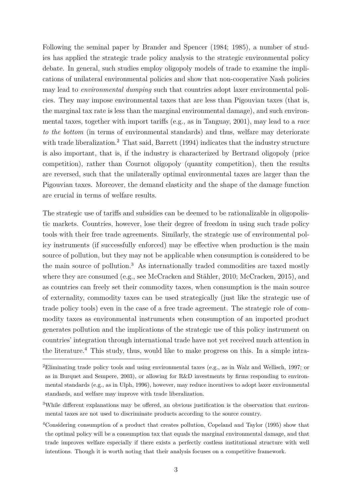Following the seminal paper by Brander and Spencer (1984; 1985), a number of studies has applied the strategic trade policy analysis to the strategic environmental policy debate. In general, such studies employ oligopoly models of trade to examine the implications of unilateral environmental policies and show that non-cooperative Nash policies may lead to *environmental dumping* such that countries adopt laxer environmental policies. They may impose environmental taxes that are less than Pigouvian taxes (that is, the marginal tax rate is less than the marginal environmental damage), and such environmental taxes, together with import tariffs (e.g., as in Tanguay, 2001), may lead to a *race to the bottom* (in terms of environmental standards) and thus, welfare may deteriorate with trade liberalization.<sup>2</sup> That said, Barrett (1994) indicates that the industry structure is also important, that is, if the industry is characterized by Bertrand oligopoly (price competition), rather than Cournot oligopoly (quantity competition), then the results are reversed, such that the unilaterally optimal environmental taxes are larger than the Pigouvian taxes. Moreover, the demand elasticity and the shape of the damage function are crucial in terms of welfare results.

The strategic use of tariffs and subsidies can be deemed to be rationalizable in oligopolistic markets. Countries, however, lose their degree of freedom in using such trade policy tools with their free trade agreements. Similarly, the strategic use of environmental policy instruments (if successfully enforced) may be effective when production is the main source of pollution, but they may not be applicable when consumption is considered to be the main source of pollution.<sup>3</sup> As internationally traded commodities are taxed mostly where they are consumed (e.g., see McCracken and Stähler, 2010; McCracken, 2015), and as countries can freely set their commodity taxes, when consumption is the main source of externality, commodity taxes can be used strategically (just like the strategic use of trade policy tools) even in the case of a free trade agreement. The strategic role of commodity taxes as environmental instruments when consumption of an imported product generates pollution and the implications of the strategic use of this policy instrument on countries' integration through international trade have not yet received much attention in the literature.<sup>4</sup> This study, thus, would like to make progress on this. In a simple intra-

<sup>2</sup>Eliminating trade policy tools and using environmental taxes (e.g., as in Walz and Wellisch, 1997; or as in Burquet and Sempere, 2003), or allowing for R&D investments by firms responding to environmental standards (e.g., as in Ulph, 1996), however, may reduce incentives to adopt laxer environmental standards, and welfare may improve with trade liberalization.

<sup>&</sup>lt;sup>3</sup>While different explanations may be offered, an obvious justification is the observation that environmental taxes are not used to discriminate products according to the source country.

<sup>4</sup>Considering consumption of a product that creates pollution, Copeland and Taylor (1995) show that the optimal policy will be a consumption tax that equals the marginal environmental damage, and that trade improves welfare especially if there exists a perfectly costless institutional structure with well intentions. Though it is worth noting that their analysis focuses on a competitive framework.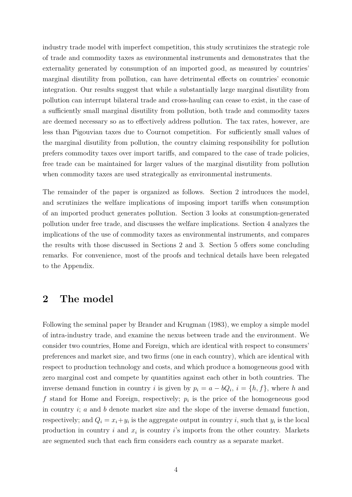industry trade model with imperfect competition, this study scrutinizes the strategic role of trade and commodity taxes as environmental instruments and demonstrates that the externality generated by consumption of an imported good, as measured by countries' marginal disutility from pollution, can have detrimental effects on countries' economic integration. Our results suggest that while a substantially large marginal disutility from pollution can interrupt bilateral trade and cross-hauling can cease to exist, in the case of a sufficiently small marginal disutility from pollution, both trade and commodity taxes are deemed necessary so as to effectively address pollution. The tax rates, however, are less than Pigouvian taxes due to Cournot competition. For sufficiently small values of the marginal disutility from pollution, the country claiming responsibility for pollution prefers commodity taxes over import tariffs, and compared to the case of trade policies, free trade can be maintained for larger values of the marginal disutility from pollution when commodity taxes are used strategically as environmental instruments.

The remainder of the paper is organized as follows. Section 2 introduces the model, and scrutinizes the welfare implications of imposing import tariffs when consumption of an imported product generates pollution. Section 3 looks at consumption-generated pollution under free trade, and discusses the welfare implications. Section 4 analyzes the implications of the use of commodity taxes as environmental instruments, and compares the results with those discussed in Sections 2 and 3. Section 5 offers some concluding remarks. For convenience, most of the proofs and technical details have been relegated to the Appendix.

### **2 The model**

Following the seminal paper by Brander and Krugman (1983), we employ a simple model of intra-industry trade, and examine the nexus between trade and the environment. We consider two countries, Home and Foreign, which are identical with respect to consumers' preferences and market size, and two firms (one in each country), which are identical with respect to production technology and costs, and which produce a homogeneous good with zero marginal cost and compete by quantities against each other in both countries. The inverse demand function in country *i* is given by  $p_i = a - bQ_i$ ,  $i = \{h, f\}$ , where *h* and *f* stand for Home and Foreign, respectively; *p<sup>i</sup>* is the price of the homogeneous good in country *i*; *a* and *b* denote market size and the slope of the inverse demand function, respectively; and  $Q_i = x_i + y_i$  is the aggregate output in country *i*, such that  $y_i$  is the local production in country  $i$  and  $x_i$  is country  $i$ 's imports from the other country. Markets are segmented such that each firm considers each country as a separate market.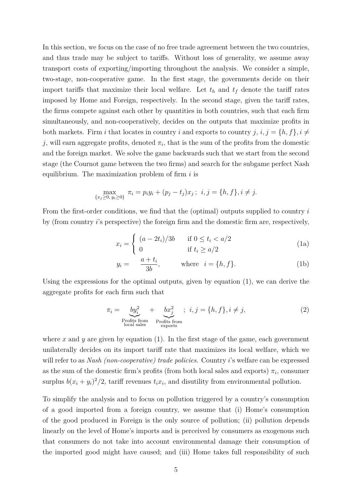In this section, we focus on the case of no free trade agreement between the two countries, and thus trade may be subject to tariffs. Without loss of generality, we assume away transport costs of exporting/importing throughout the analysis. We consider a simple, two-stage, non-cooperative game. In the first stage, the governments decide on their import tariffs that maximize their local welfare. Let  $t_h$  and  $t_f$  denote the tariff rates imposed by Home and Foreign, respectively. In the second stage, given the tariff rates, the firms compete against each other by quantities in both countries, such that each firm simultaneously, and non-cooperatively, decides on the outputs that maximize profits in both markets. Firm *i* that locates in country *i* and exports to country *j*,  $i, j = \{h, f\}, i \neq j$ *j*, will earn aggregate profits, denoted  $\pi_i$ , that is the sum of the profits from the domestic and the foreign market. We solve the game backwards such that we start from the second stage (the Cournot game between the two firms) and search for the subgame perfect Nash equilibrium. The maximization problem of firm *i* is

$$
\max_{\{x_j \ge 0, y_i \ge 0\}} \pi_i = p_i y_i + (p_j - t_j)x_j; \ \ i, j = \{h, f\}, i \ne j.
$$

From the first-order conditions, we find that the (optimal) outputs supplied to country *i* by (from country *i*'s perspective) the foreign firm and the domestic firm are, respectively,

$$
x_i = \begin{cases} (a - 2t_i)/3b & \text{if } 0 \le t_i < a/2\\ 0 & \text{if } t_i \ge a/2 \end{cases}
$$
 (1a)

$$
y_i = \frac{a + t_i}{3b}, \qquad \text{where } i = \{h, f\}. \tag{1b}
$$

Using the expressions for the optimal outputs, given by equation (1), we can derive the aggregate profits for each firm such that

$$
\pi_i = \underbrace{by_i^2}_{\text{Profits from}} + \underbrace{bx_j^2}_{\text{Profits from}}; \quad i, j = \{h, f\}, i \neq j,
$$
\n
$$
(2)
$$

where  $x$  and  $y$  are given by equation  $(1)$ . In the first stage of the game, each government unilaterally decides on its import tariff rate that maximizes its local welfare, which we will refer to as *Nash (non-cooperative) trade policies*. Country *i*'s welfare can be expressed as the sum of the domestic firm's profits (from both local sales and exports)  $\pi_i$ , consumer surplus  $b(x_i + y_i)^2/2$ , tariff revenues  $t_i x_i$ , and disutility from environmental pollution.

To simplify the analysis and to focus on pollution triggered by a country's consumption of a good imported from a foreign country, we assume that (i) Home's consumption of the good produced in Foreign is the only source of pollution; (ii) pollution depends linearly on the level of Home's imports and is perceived by consumers as exogenous such that consumers do not take into account environmental damage their consumption of the imported good might have caused; and (iii) Home takes full responsibility of such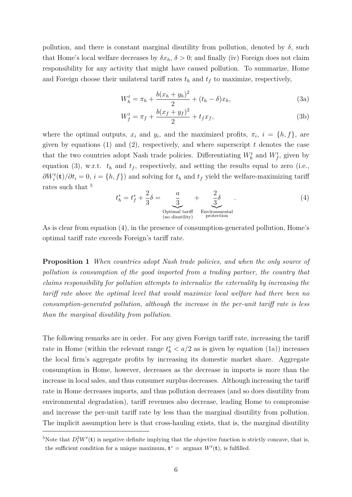pollution, and there is constant marginal disutility from pollution, denoted by  $\delta$ , such that Home's local welfare decreases by  $\delta x_h$ ,  $\delta > 0$ ; and finally (iv) Foreign does not claim responsibility for any activity that might have caused pollution. To summarize, Home and Foreign choose their unilateral tariff rates  $t_h$  and  $t_f$  to maximize, respectively,

$$
W_h^t = \pi_h + \frac{b(x_h + y_h)^2}{2} + (t_h - \delta)x_h,
$$
\n(3a)

$$
W_f^t = \pi_f + \frac{b(x_f + y_f)^2}{2} + t_f x_f,
$$
\n(3b)

where the optimal outputs,  $x_i$  and  $y_i$ , and the maximized profits,  $\pi_i$ ,  $i = \{h, f\}$ , are given by equations  $(1)$  and  $(2)$ , respectively, and where superscript  $t$  denotes the case that the two countries adopt Nash trade policies. Differentiating  $W<sub>h</sub><sup>t</sup>$  and  $W<sub>f</sub><sup>t</sup>$ , given by equation (3), w.r.t.  $t_h$  and  $t_f$ , respectively, and setting the results equal to zero (i.e.,  $\partial W_i^t(\mathbf{t})/\partial t_i = 0$ ,  $i = \{h, f\}$  and solving for  $t_h$  and  $t_f$  yield the welfare-maximizing tariff rates such that <sup>5</sup>

$$
t_h^* = t_f^* + \frac{2}{3}\delta = \underbrace{\frac{a}{3}}_{\substack{0 \text{ptimal tariff} \\ (\text{no disutility})}} + \underbrace{\frac{2}{3}\delta}_{\substack{Povironmental} \\ \text{protection}}.
$$
\n(4)

As is clear from equation (4), in the presence of consumption-generated pollution, Home's optimal tariff rate exceeds Foreign's tariff rate.

**Proposition 1** *When countries adopt Nash trade policies, and when the only source of pollution is consumption of the good imported from a trading partner, the country that claims responsibility for pollution attempts to internalize the externality by increasing the tariff rate above the optimal level that would maximize local welfare had there been no consumption-generated pollution, although the increase in the per-unit tariff rate is less than the marginal disutility from pollution.*

The following remarks are in order. For any given Foreign tariff rate, increasing the tariff rate in Home (within the relevant range  $t<sub>h</sub><sup>*</sup> < a/2$  as is given by equation (1a)) increases the local firm's aggregate profits by increasing its domestic market share. Aggregate consumption in Home, however, decreases as the decrease in imports is more than the increase in local sales, and thus consumer surplus decreases. Although increasing the tariff rate in Home decreases imports, and thus pollution decreases (and so does disutility from environmental degradation), tariff revenues also decrease, leading Home to compromise and increase the per-unit tariff rate by less than the marginal disutility from pollution. The implicit assumption here is that cross-hauling exists, that is, the marginal disutility

<sup>&</sup>lt;sup>5</sup>Note that  $D_t^2 W^t(\mathbf{t})$  is negative definite implying that the objective function is strictly concave, that is, the sufficient condition for a unique maximum,  $\mathbf{t}^* = \text{argmax } W^t(\mathbf{t})$ , is fulfilled.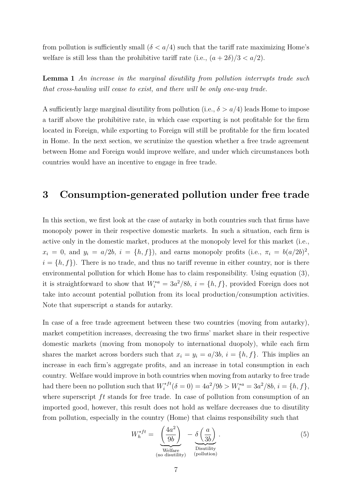from pollution is sufficiently small  $(\delta < a/4)$  such that the tariff rate maximizing Home's welfare is still less than the prohibitive tariff rate (i.e.,  $(a + 2\delta)/3 < a/2$ ).

**Lemma 1** *An increase in the marginal disutility from pollution interrupts trade such that cross-hauling will cease to exist, and there will be only one-way trade.*

A sufficiently large marginal disutility from pollution (i.e., *δ > a/*4) leads Home to impose a tariff above the prohibitive rate, in which case exporting is not profitable for the firm located in Foreign, while exporting to Foreign will still be profitable for the firm located in Home. In the next section, we scrutinize the question whether a free trade agreement between Home and Foreign would improve welfare, and under which circumstances both countries would have an incentive to engage in free trade.

### **3 Consumption-generated pollution under free trade**

In this section, we first look at the case of autarky in both countries such that firms have monopoly power in their respective domestic markets. In such a situation, each firm is active only in the domestic market, produces at the monopoly level for this market (i.e.,  $x_i = 0$ , and  $y_i = a/2b$ ,  $i = \{h, f\}$ , and earns monopoly profits (i.e.,  $\pi_i = b(a/2b)^2$ ,  $i = \{h, f\}$ ). There is no trade, and thus no tariff revenue in either country, nor is there environmental pollution for which Home has to claim responsibility. Using equation (3), it is straightforward to show that  $W_i^{*a} = 3a^2/8b$ ,  $i = \{h, f\}$ , provided Foreign does not take into account potential pollution from its local production/consumption activities. Note that superscript *a* stands for autarky.

In case of a free trade agreement between these two countries (moving from autarky), market competition increases, decreasing the two firms' market share in their respective domestic markets (moving from monopoly to international duopoly), while each firm shares the market across borders such that  $x_i = y_i = a/3b$ ,  $i = \{h, f\}$ . This implies an increase in each firm's aggregate profits, and an increase in total consumption in each country. Welfare would improve in both countries when moving from autarky to free trade had there been no pollution such that  $W_i^{*ft}$  $i^{*f}( \delta = 0 ) = 4a^2/9b > W_i^{*a} = 3a^2/8b, i = \{h, f\},\$ where superscript  $ft$  stands for free trade. In case of pollution from consumption of an imported good, however, this result does not hold as welfare decreases due to disutility from pollution, especially in the country (Home) that claims responsibility such that

$$
W_h^{*ft} = \underbrace{\left(\frac{4a^2}{9b}\right)}_{\text{Welfare}} - \underbrace{\delta\left(\frac{a}{3b}\right)}_{\text{Disutility}}.
$$
\n(5)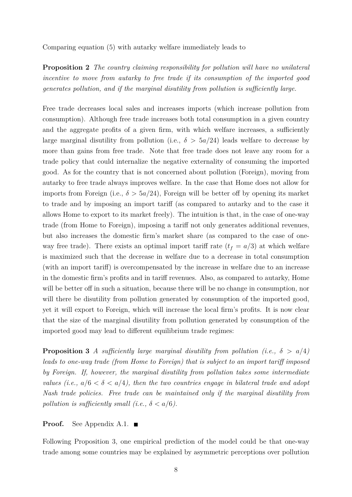Comparing equation (5) with autarky welfare immediately leads to

**Proposition 2** *The country claiming responsibility for pollution will have no unilateral incentive to move from autarky to free trade if its consumption of the imported good generates pollution, and if the marginal disutility from pollution is sufficiently large.*

Free trade decreases local sales and increases imports (which increase pollution from consumption). Although free trade increases both total consumption in a given country and the aggregate profits of a given firm, with which welfare increases, a sufficiently large marginal disutility from pollution (i.e.,  $\delta > 5a/24$ ) leads welfare to decrease by more than gains from free trade. Note that free trade does not leave any room for a trade policy that could internalize the negative externality of consuming the imported good. As for the country that is not concerned about pollution (Foreign), moving from autarky to free trade always improves welfare. In the case that Home does not allow for imports from Foreign (i.e.,  $\delta > 5a/24$ ), Foreign will be better off by opening its market to trade and by imposing an import tariff (as compared to autarky and to the case it allows Home to export to its market freely). The intuition is that, in the case of one-way trade (from Home to Foreign), imposing a tariff not only generates additional revenues, but also increases the domestic firm's market share (as compared to the case of oneway free trade). There exists an optimal import tariff rate  $(t_f = a/3)$  at which welfare is maximized such that the decrease in welfare due to a decrease in total consumption (with an import tariff) is overcompensated by the increase in welfare due to an increase in the domestic firm's profits and in tariff revenues. Also, as compared to autarky, Home will be better off in such a situation, because there will be no change in consumption, nor will there be disutility from pollution generated by consumption of the imported good, yet it will export to Foreign, which will increase the local firm's profits. It is now clear that the size of the marginal disutility from pollution generated by consumption of the imported good may lead to different equilibrium trade regimes:

**Proposition 3** *A sufficiently large marginal disutility from pollution (i.e.,*  $\delta > a/4$ ) *leads to one-way trade (from Home to Foreign) that is subject to an import tariff imposed by Foreign. If, however, the marginal disutility from pollution takes some intermediate values (i.e.,*  $a/6 < \delta < a/4$ ), then the two countries engage in bilateral trade and adopt *Nash trade policies. Free trade can be maintained only if the marginal disutility from pollution is sufficiently small (i.e.,*  $\delta < a/6$ ).

**Proof.** See Appendix A.1. ■

Following Proposition 3, one empirical prediction of the model could be that one-way trade among some countries may be explained by asymmetric perceptions over pollution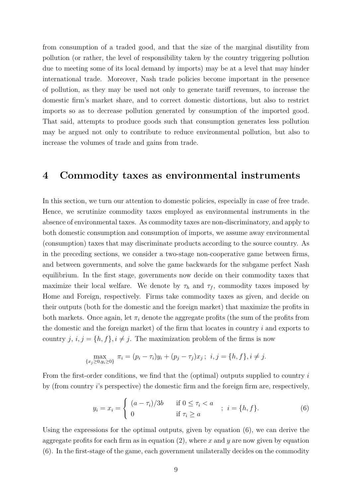from consumption of a traded good, and that the size of the marginal disutility from pollution (or rather, the level of responsibility taken by the country triggering pollution due to meeting some of its local demand by imports) may be at a level that may hinder international trade. Moreover, Nash trade policies become important in the presence of pollution, as they may be used not only to generate tariff revenues, to increase the domestic firm's market share, and to correct domestic distortions, but also to restrict imports so as to decrease pollution generated by consumption of the imported good. That said, attempts to produce goods such that consumption generates less pollution may be argued not only to contribute to reduce environmental pollution, but also to increase the volumes of trade and gains from trade.

### **4 Commodity taxes as environmental instruments**

In this section, we turn our attention to domestic policies, especially in case of free trade. Hence, we scrutinize commodity taxes employed as environmental instruments in the absence of environmental taxes. As commodity taxes are non-discriminatory, and apply to both domestic consumption and consumption of imports, we assume away environmental (consumption) taxes that may discriminate products according to the source country. As in the preceding sections, we consider a two-stage non-cooperative game between firms, and between governments, and solve the game backwards for the subgame perfect Nash equilibrium. In the first stage, governments now decide on their commodity taxes that maximize their local welfare. We denote by  $\tau_h$  and  $\tau_f$ , commodity taxes imposed by Home and Foreign, respectively. Firms take commodity taxes as given, and decide on their outputs (both for the domestic and the foreign market) that maximize the profits in both markets. Once again, let  $\pi_i$  denote the aggregate profits (the sum of the profits from the domestic and the foreign market) of the firm that locates in country *i* and exports to country  $j, i, j = \{h, f\}, i \neq j$ . The maximization problem of the firms is now

$$
\max_{\{x_j \ge 0, y_i \ge 0\}} \pi_i = (p_i - \tau_i)y_i + (p_j - \tau_j)x_j; \ \ i, j = \{h, f\}, i \ne j.
$$

From the first-order conditions, we find that the (optimal) outputs supplied to country *i* by (from country *i*'s perspective) the domestic firm and the foreign firm are, respectively,

$$
y_i = x_i = \begin{cases} (a - \tau_i)/3b & \text{if } 0 \le \tau_i < a \\ 0 & \text{if } \tau_i \ge a \end{cases} ; i = \{h, f\}. \tag{6}
$$

Using the expressions for the optimal outputs, given by equation (6), we can derive the aggregate profits for each firm as in equation (2), where *x* and *y* are now given by equation (6). In the first-stage of the game, each government unilaterally decides on the commodity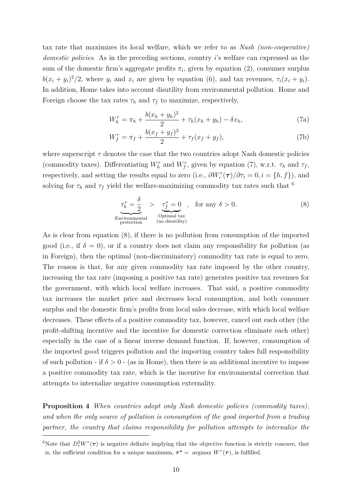tax rate that maximizes its local welfare, which we refer to as *Nash (non-cooperative) domestic policies*. As in the preceding sections, country *i*'s welfare can expressed as the sum of the domestic firm's aggregate profits  $\pi_i$ , given by equation (2), consumer surplus  $b(x_i + y_i)^2/2$ , where  $y_i$  and  $x_i$  are given by equation (6), and tax revenues,  $\tau_i(x_i + y_i)$ . In addition, Home takes into account disutility from environmental pollution. Home and Foreign choose the tax rates  $\tau_h$  and  $\tau_f$  to maximize, respectively,

$$
W_h^{\tau} = \pi_h + \frac{b(x_h + y_h)^2}{2} + \tau_h(x_h + y_h) - \delta x_h,
$$
 (7a)

$$
W_f^{\tau} = \pi_f + \frac{b(x_f + y_f)^2}{2} + \tau_f(x_f + y_f),
$$
\n(7b)

where superscript  $\tau$  denotes the case that the two countries adopt Nash domestic policies (commodity taxes). Differentiating  $W_h^{\tau}$  and  $W_f^{\tau}$ , given by equation (7), w.r.t.  $\tau_h$  and  $\tau_f$ , respectively, and setting the results equal to zero (i.e.,  $\partial W_i^{\tau}(\tau)/\partial \tau_i = 0, i = \{h, f\}$ ), and solving for  $\tau_h$  and  $\tau_f$  yield the welfare-maximizing commodity tax rates such that <sup>6</sup>

$$
\underbrace{\tau_h^* = \frac{\delta}{2}}_{\text{Environmental}} > \underbrace{\tau_f^* = 0}_{\text{Optimal tax}} , \quad \text{for any } \delta > 0. \tag{8}
$$
\n
$$
\underbrace{\text{Environmental}}_{\text{protection}}
$$

As is clear from equation (8), if there is no pollution from consumption of the imported good (i.e., if  $\delta = 0$ ), or if a country does not claim any responsibility for pollution (as in Foreign), then the optimal (non-discriminatory) commodity tax rate is equal to zero. The reason is that, for any given commodity tax rate imposed by the other country, increasing the tax rate (imposing a positive tax rate) generates positive tax revenues for the government, with which local welfare increases. That said, a positive commodity tax increases the market price and decreases local consumption, and both consumer surplus and the domestic firm's profits from local sales decrease, with which local welfare decreases. These effects of a positive commodity tax, however, cancel out each other (the profit-shifting incentive and the incentive for domestic correction eliminate each other) especially in the case of a linear inverse demand function. If, however, consumption of the imported good triggers pollution and the importing country takes full responsibility of such pollution - if  $\delta > 0$  - (as in Home), then there is an additional incentive to impose a positive commodity tax rate, which is the incentive for environmental correction that attempts to internalize negative consumption externality.

**Proposition 4** *When countries adopt only Nash domestic policies (commodity taxes), and when the only source of pollution is consumption of the good imported from a trading partner, the country that claims responsibility for pollution attempts to internalize the*

<sup>&</sup>lt;sup>6</sup>Note that  $D_\tau^2 W^\tau(\tau)$  is negative definite implying that the objective function is strictly concave, that is, the sufficient condition for a unique maximum,  $\tau^* = \text{argmax } W^{\tau}(\tau)$ , is fulfilled.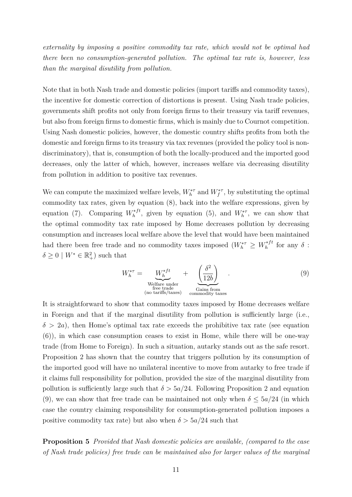*externality by imposing a positive commodity tax rate, which would not be optimal had there been no consumption-generated pollution. The optimal tax rate is, however, less than the marginal disutility from pollution.*

Note that in both Nash trade and domestic policies (import tariffs and commodity taxes), the incentive for domestic correction of distortions is present. Using Nash trade policies, governments shift profits not only from foreign firms to their treasury via tariff revenues, but also from foreign firms to domestic firms, which is mainly due to Cournot competition. Using Nash domestic policies, however, the domestic country shifts profits from both the domestic and foreign firms to its treasury via tax revenues (provided the policy tool is nondiscriminatory), that is, consumption of both the locally-produced and the imported good decreases, only the latter of which, however, increases welfare via decreasing disutility from pollution in addition to positive tax revenues.

We can compute the maximized welfare levels,  $W_h^{*\tau}$  and  $W_f^{*\tau}$ , by substituting the optimal commodity tax rates, given by equation (8), back into the welfare expressions, given by equation (7). Comparing  $W_h^{*ft}$  $h_h^{*ft}$ , given by equation (5), and  $W_h^{*r}$ , we can show that the optimal commodity tax rate imposed by Home decreases pollution by decreasing consumption and increases local welfare above the level that would have been maintained had there been free trade and no commodity taxes imposed  $(W_h^{*\tau} \geq W_h^{*f}$  $h^{*ft}$  for any  $\delta$  :  $\delta \geq 0 \mid W^* \in \mathbb{R}^2_+$ ) such that

$$
W_h^{*\tau} = \underbrace{W_h^{*ft}}_{\text{Welfare under}} + \underbrace{\left(\frac{\delta^2}{12b}\right)}_{\text{Gains from}}.
$$
\n(9)

It is straightforward to show that commodity taxes imposed by Home decreases welfare in Foreign and that if the marginal disutility from pollution is sufficiently large (i.e.,  $\delta$  > 2*a*), then Home's optimal tax rate exceeds the prohibitive tax rate (see equation (6)), in which case consumption ceases to exist in Home, while there will be one-way trade (from Home to Foreign). In such a situation, autarky stands out as the safe resort. Proposition 2 has shown that the country that triggers pollution by its consumption of the imported good will have no unilateral incentive to move from autarky to free trade if it claims full responsibility for pollution, provided the size of the marginal disutility from pollution is sufficiently large such that  $\delta > 5a/24$ . Following Proposition 2 and equation (9), we can show that free trade can be maintained not only when  $\delta \leq 5a/24$  (in which case the country claiming responsibility for consumption-generated pollution imposes a positive commodity tax rate) but also when  $\delta > 5a/24$  such that

**Proposition 5** *Provided that Nash domestic policies are available, (compared to the case of Nash trade policies) free trade can be maintained also for larger values of the marginal*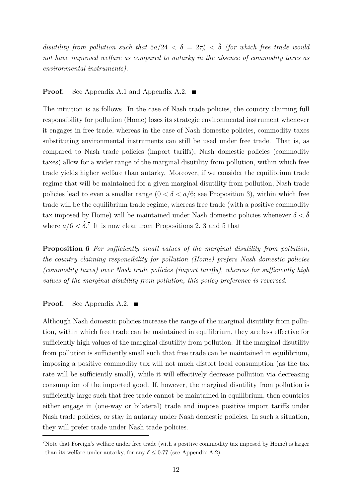*disutility from pollution such that*  $5a/24 < \delta = 2\tau_h^* < \hat{\delta}$  (for which free trade would *not have improved welfare as compared to autarky in the absence of commodity taxes as environmental instruments).*

#### **Proof.** See Appendix A.1 and Appendix A.2. ■

The intuition is as follows. In the case of Nash trade policies, the country claiming full responsibility for pollution (Home) loses its strategic environmental instrument whenever it engages in free trade, whereas in the case of Nash domestic policies, commodity taxes substituting environmental instruments can still be used under free trade. That is, as compared to Nash trade policies (import tariffs), Nash domestic policies (commodity taxes) allow for a wider range of the marginal disutility from pollution, within which free trade yields higher welfare than autarky. Moreover, if we consider the equilibrium trade regime that will be maintained for a given marginal disutility from pollution, Nash trade policies lead to even a smaller range  $(0 < \delta < a/6$ ; see Proposition 3), within which free trade will be the equilibrium trade regime, whereas free trade (with a positive commodity tax imposed by Home) will be maintained under Nash domestic policies whenever  $\delta < \hat{\delta}$ where  $a/6 < \hat{\delta}$ .<sup>7</sup> It is now clear from Propositions 2, 3 and 5 that

**Proposition 6** *For sufficiently small values of the marginal disutility from pollution, the country claiming responsibility for pollution (Home) prefers Nash domestic policies (commodity taxes) over Nash trade policies (import tariffs), whereas for sufficiently high values of the marginal disutility from pollution, this policy preference is reversed.*

#### **Proof.** See Appendix A.2. ■

Although Nash domestic policies increase the range of the marginal disutility from pollution, within which free trade can be maintained in equilibrium, they are less effective for sufficiently high values of the marginal disutility from pollution. If the marginal disutility from pollution is sufficiently small such that free trade can be maintained in equilibrium, imposing a positive commodity tax will not much distort local consumption (as the tax rate will be sufficiently small), while it will effectively decrease pollution via decreasing consumption of the imported good. If, however, the marginal disutility from pollution is sufficiently large such that free trade cannot be maintained in equilibrium, then countries either engage in (one-way or bilateral) trade and impose positive import tariffs under Nash trade policies, or stay in autarky under Nash domestic policies. In such a situation, they will prefer trade under Nash trade policies.

<sup>7</sup>Note that Foreign's welfare under free trade (with a positive commodity tax imposed by Home) is larger than its welfare under autarky, for any  $\delta \leq 0.77$  (see Appendix A.2).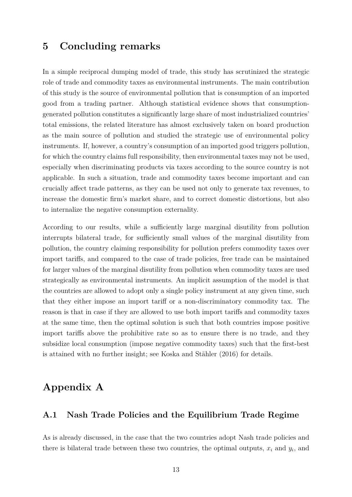### **5 Concluding remarks**

In a simple reciprocal dumping model of trade, this study has scrutinized the strategic role of trade and commodity taxes as environmental instruments. The main contribution of this study is the source of environmental pollution that is consumption of an imported good from a trading partner. Although statistical evidence shows that consumptiongenerated pollution constitutes a significantly large share of most industrialized countries' total emissions, the related literature has almost exclusively taken on board production as the main source of pollution and studied the strategic use of environmental policy instruments. If, however, a country's consumption of an imported good triggers pollution, for which the country claims full responsibility, then environmental taxes may not be used, especially when discriminating products via taxes according to the source country is not applicable. In such a situation, trade and commodity taxes become important and can crucially affect trade patterns, as they can be used not only to generate tax revenues, to increase the domestic firm's market share, and to correct domestic distortions, but also to internalize the negative consumption externality.

According to our results, while a sufficiently large marginal disutility from pollution interrupts bilateral trade, for sufficiently small values of the marginal disutility from pollution, the country claiming responsibility for pollution prefers commodity taxes over import tariffs, and compared to the case of trade policies, free trade can be maintained for larger values of the marginal disutility from pollution when commodity taxes are used strategically as environmental instruments. An implicit assumption of the model is that the countries are allowed to adopt only a single policy instrument at any given time, such that they either impose an import tariff or a non-discriminatory commodity tax. The reason is that in case if they are allowed to use both import tariffs and commodity taxes at the same time, then the optimal solution is such that both countries impose positive import tariffs above the prohibitive rate so as to ensure there is no trade, and they subsidize local consumption (impose negative commodity taxes) such that the first-best is attained with no further insight; see Koska and Stähler (2016) for details.

### **Appendix A**

#### **A.1 Nash Trade Policies and the Equilibrium Trade Regime**

As is already discussed, in the case that the two countries adopt Nash trade policies and there is bilateral trade between these two countries, the optimal outputs,  $x_i$  and  $y_i$ , and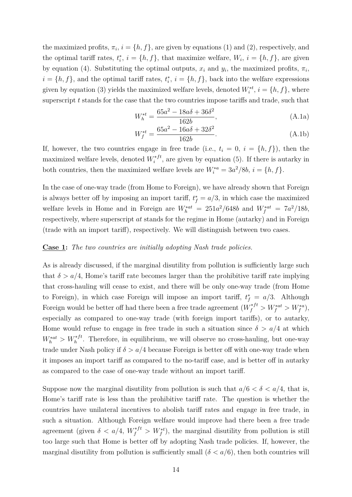the maximized profits,  $\pi_i$ ,  $i = \{h, f\}$ , are given by equations (1) and (2), respectively, and the optimal tariff rates,  $t_i^*$ ,  $i = \{h, f\}$ , that maximize welfare,  $W_i$ ,  $i = \{h, f\}$ , are given by equation (4). Substituting the optimal outputs,  $x_i$  and  $y_i$ , the maximized profits,  $\pi_i$ ,  $i = \{h, f\}$ , and the optimal tariff rates,  $t_i^*$ ,  $i = \{h, f\}$ , back into the welfare expressions given by equation (3) yields the maximized welfare levels, denoted  $W_i^{*t}$ ,  $i = \{h, f\}$ , where superscript *t* stands for the case that the two countries impose tariffs and trade, such that

$$
W_h^{*t} = \frac{65a^2 - 18a\delta + 36\delta^2}{162b},
$$
\n(A.1a)

$$
W_f^{*t} = \frac{65a^2 - 16a\delta + 32\delta^2}{162b}.
$$
 (A.1b)

If, however, the two countries engage in free trade (i.e.,  $t_i = 0$ ,  $i = \{h, f\}$ ), then the maximized welfare levels, denoted  $W_i^{*ft}$  $i^{*j}$ , are given by equation (5). If there is autarky in both countries, then the maximized welfare levels are  $W_i^{*a} = 3a^2/8b$ ,  $i = \{h, f\}$ .

In the case of one-way trade (from Home to Foreign), we have already shown that Foreign is always better of f by imposing an import tariff,  $t_f^* = a/3$ , in which case the maximized welfare levels in Home and in Foreign are  $W_h^{*at} = 251a^2/648b$  and  $W_f^{*at} = 7a^2/18b$ , respectively, where superscript *at* stands for the regime in Home (autarky) and in Foreign (trade with an import tariff), respectively. We will distinguish between two cases.

#### **Case 1:** *The two countries are initially adopting Nash trade policies.*

As is already discussed, if the marginal disutility from pollution is sufficiently large such that  $\delta > a/4$ , Home's tariff rate becomes larger than the prohibitive tariff rate implying that cross-hauling will cease to exist, and there will be only one-way trade (from Home to Foreign), in which case Foreign will impose an import tariff,  $t_f^* = a/3$ . Although Foreign would be better off had there been a free trade agreement  $(W_f^{*ft} > W_f^{*at} > W_f^{*a})$ , especially as compared to one-way trade (with foreign import tariffs), or to autarky, Home would refuse to engage in free trade in such a situation since  $\delta > a/4$  at which  $W_h^{*at} > W_h^{*ft}$ . Therefore, in equilibrium, we will observe no cross-hauling, but one-way trade under Nash policy if  $\delta > a/4$  because Foreign is better off with one-way trade when it imposes an import tariff as compared to the no-tariff case, and is better off in autarky as compared to the case of one-way trade without an import tariff.

Suppose now the marginal disutility from pollution is such that  $a/6 < \delta < a/4$ , that is, Home's tariff rate is less than the prohibitive tariff rate. The question is whether the countries have unilateral incentives to abolish tariff rates and engage in free trade, in such a situation. Although Foreign welfare would improve had there been a free trade agreement (given  $\delta < a/4$ ,  $W_f^{*ft} > W_f^{*t}$ ), the marginal disutility from pollution is still too large such that Home is better off by adopting Nash trade policies. If, however, the marginal disutility from pollution is sufficiently small  $(\delta < a/6)$ , then both countries will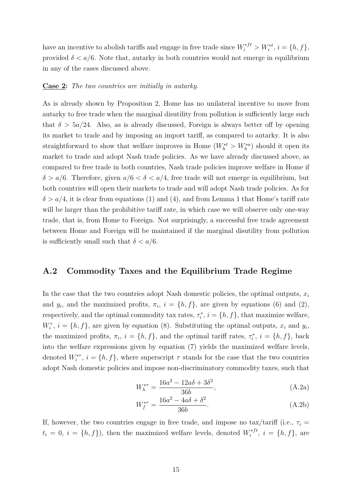have an incentive to abolish tariffs and engage in free trade since  $W_i^{*ft} > W_i^{*t}$ ,  $i = \{h, f\}$ , provided  $\delta < a/6$ . Note that, autarky in both countries would not emerge in equilibrium in any of the cases discussed above.

#### **Case 2:** *The two countries are initially in autarky.*

As is already shown by Proposition 2, Home has no unilateral incentive to move from autarky to free trade when the marginal disutility from pollution is sufficiently large such that  $\delta > 5a/24$ . Also, as is already discussed, Foreign is always better off by opening its market to trade and by imposing an import tariff, as compared to autarky. It is also straightforward to show that welfare improves in Home  $(W_h^{*t} > W_h^{*a})$  should it open its market to trade and adopt Nash trade policies. As we have already discussed above, as compared to free trade in both countries, Nash trade policies improve welfare in Home if  $\delta > a/6$ . Therefore, given  $a/6 < \delta < a/4$ , free trade will not emerge in equilibrium, but both countries will open their markets to trade and will adopt Nash trade policies. As for  $\delta > a/4$ , it is clear from equations (1) and (4), and from Lemma 1 that Home's tariff rate will be larger than the prohibitive tariff rate, in which case we will observe only one-way trade, that is, from Home to Foreign. Not surprisingly, a successful free trade agreement between Home and Foreign will be maintained if the marginal disutility from pollution is sufficiently small such that  $\delta < a/6$ .

#### **A.2 Commodity Taxes and the Equilibrium Trade Regime**

In the case that the two countries adopt Nash domestic policies, the optimal outputs,  $x_i$ and  $y_i$ , and the maximized profits,  $\pi_i$ ,  $i = \{h, f\}$ , are given by equations (6) and (2), respectively, and the optimal commodity tax rates,  $\tau_i^*$ ,  $i = \{h, f\}$ , that maximize welfare,  $W_i^{\tau}$ ,  $i = \{h, f\}$ , are given by equation (8). Substituting the optimal outputs,  $x_i$  and  $y_i$ , the maximized profits,  $\pi_i$ ,  $i = \{h, f\}$ , and the optimal tariff rates,  $\tau_i^*$ ,  $i = \{h, f\}$ , back into the welfare expressions given by equation (7) yields the maximized welfare levels, denoted  $W_i^{*\tau}$ ,  $i = \{h, f\}$ , where superscript  $\tau$  stands for the case that the two countries adopt Nash domestic policies and impose non-discriminatory commodity taxes, such that

$$
W_h^{*\tau} = \frac{16a^2 - 12a\delta + 3\delta^2}{36b},
$$
 (A.2a)

$$
W_f^{*\tau} = \frac{16a^2 - 4a\delta + \delta^2}{36b}.
$$
 (A.2b)

If, however, the two countries engage in free trade, and impose no tax/tariff (i.e.,  $\tau_i$  =  $t_i = 0, i = \{h, f\}$ , then the maximized welfare levels, denoted  $W_i^{*ft}$  $i^{*}$ ,  $i = \{h, f\}$ , are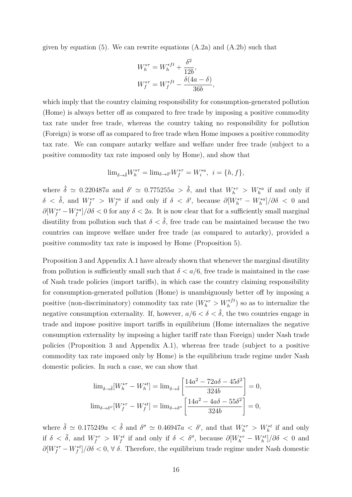given by equation (5). We can rewrite equations  $(A.2a)$  and  $(A.2b)$  such that

$$
W_h^{*\tau} = W_h^{*ft} + \frac{\delta^2}{12b},
$$
  

$$
W_f^{*\tau} = W_f^{*ft} - \frac{\delta(4a - \delta)}{36b},
$$

which imply that the country claiming responsibility for consumption-generated pollution (Home) is always better off as compared to free trade by imposing a positive commodity tax rate under free trade, whereas the country taking no responsibility for pollution (Foreign) is worse off as compared to free trade when Home imposes a positive commodity tax rate. We can compare autarky welfare and welfare under free trade (subject to a positive commodity tax rate imposed only by Home), and show that

$$
\text{lim}_{\delta \to \delta} W_h^{*\tau} = \text{lim}_{\delta \to \delta'} W_f^{*\tau} = W_i^{*a}, \ i = \{h, f\},\
$$

where  $\hat{\delta} \simeq 0.220487a$  and  $\delta' \simeq 0.775255a > \hat{\delta}$ , and that  $W_h^{*\tau} > W_h^{*a}$  if and only if  $\delta < \hat{\delta}$ , and  $W_f^{*\tau} > W_f^{*a}$  if and only if  $\delta < \delta'$ , because  $\partial [W_h^{*\tau} - W_h^{*a}]/\partial \delta < 0$  and  $\partial [W_f^{*\tau} - W_f^{*a}]/\partial \delta < 0$  for any  $\delta < 2a$ . It is now clear that for a sufficiently small marginal disutility from pollution such that  $\delta < \hat{\delta}$ , free trade can be maintained because the two countries can improve welfare under free trade (as compared to autarky), provided a positive commodity tax rate is imposed by Home (Proposition 5).

Proposition 3 and Appendix A.1 have already shown that whenever the marginal disutility from pollution is sufficiently small such that  $\delta < a/6$ , free trade is maintained in the case of Nash trade policies (import tariffs), in which case the country claiming responsibility for consumption-generated pollution (Home) is unambiguously better off by imposing a positive (non-discriminatory) commodity tax rate  $(W_h^{*\tau} > W_h^{*ft})$  so as to internalize the negative consumption externality. If, however,  $a/6 < \delta < \hat{\delta}$ , the two countries engage in trade and impose positive import tariffs in equilibrium (Home internalizes the negative consumption externality by imposing a higher tariff rate than Foreign) under Nash trade policies (Proposition 3 and Appendix A.1), whereas free trade (subject to a positive commodity tax rate imposed only by Home) is the equilibrium trade regime under Nash domestic policies. In such a case, we can show that

$$
\lim_{\delta \to \tilde{\delta}} [W_h^{*\tau} - W_h^{*\tau}] = \lim_{\delta \to \tilde{\delta}} \left[ \frac{14a^2 - 72a\delta - 45\delta^2}{324b} \right] = 0,
$$
  

$$
\lim_{\delta \to \delta''} [W_f^{*\tau} - W_f^{*\tau}] = \lim_{\delta \to \delta''} \left[ \frac{14a^2 - 4a\delta - 55\delta^2}{324b} \right] = 0,
$$

where  $\tilde{\delta} \simeq 0.175249a < \hat{\delta}$  and  $\delta'' \simeq 0.46947a < \delta'$ , and that  $W_h^{*\tau} > W_h^{*t}$  if and only if  $\delta < \tilde{\delta}$ , and  $W_f^{*\tau} > W_f^{*t}$  if and only if  $\delta < \delta''$ , because  $\partial [W_h^{*\tau} - W_h^{*t}]/\partial \delta < 0$  and  $\partial [W_f^{*\tau} - W_f^{*t}] / \partial \delta < 0$ ,  $\forall \delta$ . Therefore, the equilibrium trade regime under Nash domestic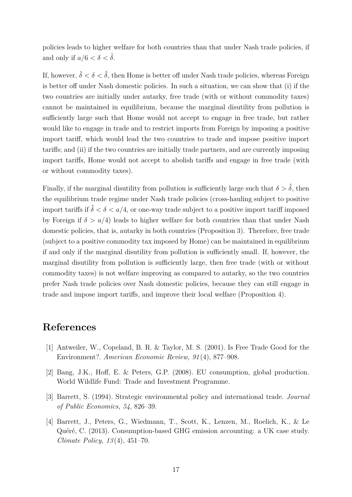policies leads to higher welfare for both countries than that under Nash trade policies, if and only if  $a/6 < \delta < \tilde{\delta}$ .

If, however,  $\tilde{\delta} < \delta < \hat{\delta}$ , then Home is better off under Nash trade policies, whereas Foreign is better off under Nash domestic policies. In such a situation, we can show that (i) if the two countries are initially under autarky, free trade (with or without commodity taxes) cannot be maintained in equilibrium, because the marginal disutility from pollution is sufficiently large such that Home would not accept to engage in free trade, but rather would like to engage in trade and to restrict imports from Foreign by imposing a positive import tariff, which would lead the two countries to trade and impose positive import tariffs; and (ii) if the two countries are initially trade partners, and are currently imposing import tariffs, Home would not accept to abolish tariffs and engage in free trade (with or without commodity taxes).

Finally, if the marginal disutility from pollution is sufficiently large such that  $\delta > \hat{\delta}$ , then the equilibrium trade regime under Nash trade policies (cross-hauling subject to positive import tariffs if  $\hat{\delta} < \delta < a/4$ , or one-way trade subject to a positive import tariff imposed by Foreign if  $\delta > a/4$ ) leads to higher welfare for both countries than that under Nash domestic policies, that is, autarky in both countries (Proposition 3). Therefore, free trade (subject to a positive commodity tax imposed by Home) can be maintained in equilibrium if and only if the marginal disutility from pollution is sufficiently small. If, however, the marginal disutility from pollution is sufficiently large, then free trade (with or without commodity taxes) is not welfare improving as compared to autarky, so the two countries prefer Nash trade policies over Nash domestic policies, because they can still engage in trade and impose import tariffs, and improve their local welfare (Proposition 4).

### **References**

- [1] Antweiler, W., Copeland, B. R. & Taylor, M. S. (2001). Is Free Trade Good for the Environment?. *American Economic Review, 91* (4), 877–908.
- [2] Bang, J.K., Hoff, E. & Peters, G.P. (2008). EU consumption, global production. World Wildlife Fund: Trade and Investment Programme.
- [3] Barrett, S. (1994). Strategic environmental policy and international trade. *Journal of Public Economics, 54*, 826–39.
- [4] Barrett, J., Peters, G., Wiedmann, T., Scott, K., Lenzen, M., Roelich, K., & Le Quéré, C. (2013). Consumption-based GHG emission accounting: a UK case study. *Climate Policy, 13* (4), 451–70.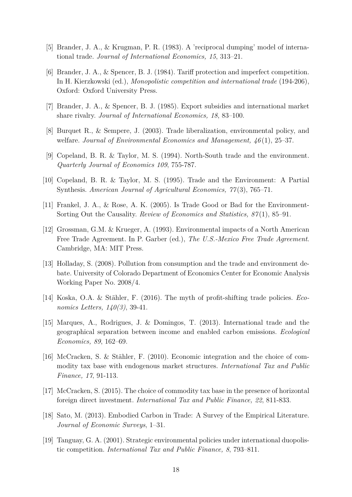- [5] Brander, J. A., & Krugman, P. R. (1983). A 'reciprocal dumping' model of international trade. *Journal of International Economics, 15*, 313–21.
- [6] Brander, J. A., & Spencer, B. J. (1984). Tariff protection and imperfect competition. In H. Kierzkowski (ed.), *Monopolistic competition and international trade* (194-206), Oxford: Oxford University Press.
- [7] Brander, J. A., & Spencer, B. J. (1985). Export subsidies and international market share rivalry. *Journal of International Economics, 18*, 83–100.
- [8] Burquet R., & Sempere, J. (2003). Trade liberalization, environmental policy, and welfare. *Journal of Environmental Economics and Management, 46* (1), 25–37.
- [9] Copeland, B. R. & Taylor, M. S. (1994). North-South trade and the environment. *Quarterly Journal of Economics 109*, 755-787.
- [10] Copeland, B. R. & Taylor, M. S. (1995). Trade and the Environment: A Partial Synthesis. *American Journal of Agricultural Economics, 77* (3), 765–71.
- [11] Frankel, J. A., & Rose, A. K. (2005). Is Trade Good or Bad for the Environment-Sorting Out the Causality. *Review of Economics and Statistics, 87* (1), 85–91.
- [12] Grossman, G.M. & Krueger, A. (1993). Environmental impacts of a North American Free Trade Agreement. In P. Garber (ed.), *The U.S.-Mexico Free Trade Agreement*. Cambridge, MA: MIT Press.
- [13] Holladay, S. (2008). Pollution from consumption and the trade and environment debate. University of Colorado Department of Economics Center for Economic Analysis Working Paper No. 2008/4.
- [14] Koska, O.A. & Stähler, F. (2016). The myth of profit-shifting trade policies. *Economics Letters, 140(3)*, 39-41.
- [15] Marques, A., Rodrigues, J. & Domingos, T. (2013). International trade and the geographical separation between income and enabled carbon emissions. *Ecological Economics, 89*, 162–69.
- [16] McCracken, S. & Stähler, F. (2010). Economic integration and the choice of commodity tax base with endogenous market structures. *International Tax and Public Finance, 17*, 91-113.
- [17] McCracken, S. (2015). The choice of commodity tax base in the presence of horizontal foreign direct investment. *International Tax and Public Finance, 22*, 811-833.
- [18] Sato, M. (2013). Embodied Carbon in Trade: A Survey of the Empirical Literature. *Journal of Economic Surveys*, 1–31.
- [19] Tanguay, G. A. (2001). Strategic environmental policies under international duopolistic competition. *International Tax and Public Finance, 8*, 793–811.